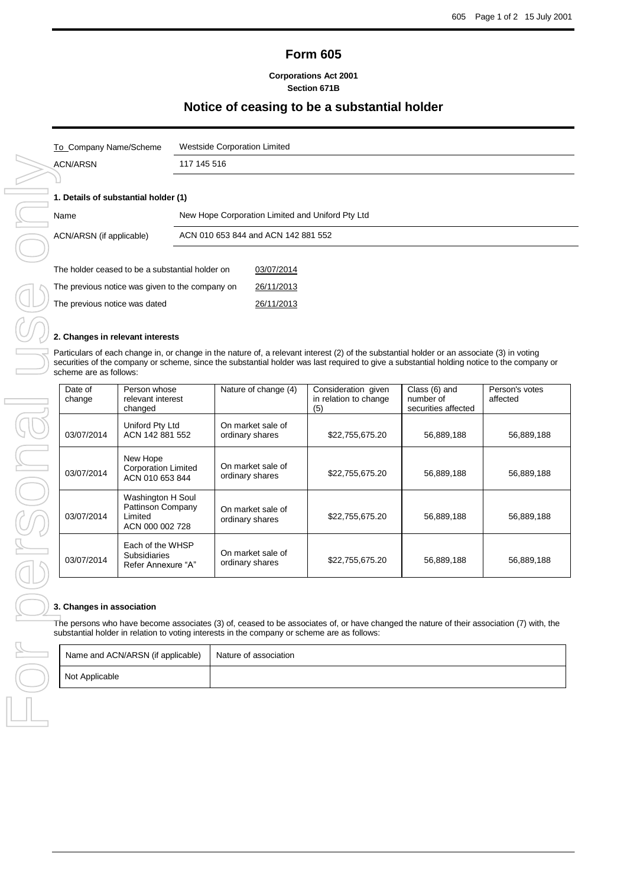# **Form 605**

**Corporations Act 2001 Section 671B**

## **Notice of ceasing to be a substantial holder**

| To_Company Name/Scheme               | Westside Corporation Limited                     |
|--------------------------------------|--------------------------------------------------|
| ACN/ARSN                             | 117 145 516                                      |
|                                      |                                                  |
| 1. Details of substantial holder (1) |                                                  |
| Name                                 | New Hope Corporation Limited and Uniford Pty Ltd |
| ACN/ARSN (if applicable)             | ACN 010 653 844 and ACN 142 881 552              |
|                                      |                                                  |

| The holder ceased to be a substantial holder on | 03/07/2014 |
|-------------------------------------------------|------------|
| The previous notice was given to the company on | 26/11/2013 |
| The previous notice was dated                   | 26/11/2013 |

## **2. Changes in relevant interests**

Particulars of each change in, or change in the nature of, a relevant interest (2) of the substantial holder or an associate (3) in voting securities of the company or scheme, since the substantial holder was last required to give a substantial holding notice to the company or scheme are as follows:

| Date of<br>change | Person whose<br>relevant interest<br>changed                         | Nature of change (4)                 | Consideration given<br>in relation to change<br>(5) | Class (6) and<br>number of<br>securities affected | Person's votes<br>affected |
|-------------------|----------------------------------------------------------------------|--------------------------------------|-----------------------------------------------------|---------------------------------------------------|----------------------------|
| 03/07/2014        | Uniford Pty Ltd<br>ACN 142 881 552                                   | On market sale of<br>ordinary shares | \$22,755,675.20                                     | 56,889,188                                        | 56,889,188                 |
| 03/07/2014        | New Hope<br><b>Corporation Limited</b><br>ACN 010 653 844            | On market sale of<br>ordinary shares | \$22,755,675.20                                     | 56,889,188                                        | 56,889,188                 |
| 03/07/2014        | Washington H Soul<br>Pattinson Company<br>Limited<br>ACN 000 002 728 | On market sale of<br>ordinary shares | \$22,755,675.20                                     | 56,889,188                                        | 56,889,188                 |
| 03/07/2014        | Each of the WHSP<br><b>Subsidiaries</b><br>Refer Annexure "A"        | On market sale of<br>ordinary shares | \$22,755,675.20                                     | 56,889,188                                        | 56,889,188                 |

The persons who have become associates (3) of, ceased to be associates of, or have changed the nature of their association (7) with, the substantial holder in relation to voting interests in the company or scheme are as follows:

| Name and ACN/ARSN (if applicable) | Nature of association |
|-----------------------------------|-----------------------|
| Not Applicable                    |                       |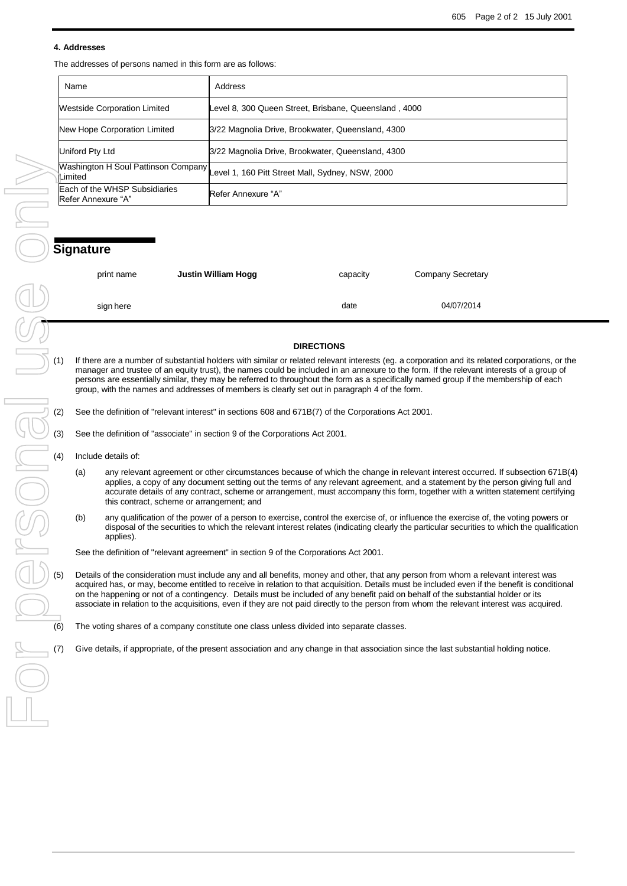### **4. Addresses**

The addresses of persons named in this form are as follows:

| Name                                                | Address                                                                              |
|-----------------------------------------------------|--------------------------------------------------------------------------------------|
| <b>Westside Corporation Limited</b>                 | Level 8, 300 Queen Street, Brisbane, Queensland, 4000                                |
| New Hope Corporation Limited                        | 3/22 Magnolia Drive, Brookwater, Queensland, 4300                                    |
| Uniford Pty Ltd                                     | 3/22 Magnolia Drive, Brookwater, Queensland, 4300                                    |
|                                                     | Washington H Soul Pattinson Company Level 1, 160 Pitt Street Mall, Sydney, NSW, 2000 |
| Each of the WHSP Subsidiaries<br>Refer Annexure "A" | Refer Annexure "A"                                                                   |

| print name | Justin William Hogg | capacity | <b>Company Secretary</b> |
|------------|---------------------|----------|--------------------------|
| sign here  |                     | date     | 04/07/2014               |

### **DIRECTIONS**

If there are a number of substantial holders with similar or related relevant interests (eg. a corporation and its related corporations, or the manager and trustee of an equity trust), the names could be included in an annexure to the form. If the relevant interests of a group of persons are essentially similar, they may be referred to throughout the form as a specifically named group if the membership of each group, with the names and addresses of members is clearly set out in paragraph 4 of the form.

See the definition of "associate" in section 9 of the Corporations Act 2001.

- Include details of:
	- (a) any relevant agreement or other circumstances because of which the change in relevant interest occurred. If subsection 671B(4) applies, a copy of any document setting out the terms of any relevant agreement, and a statement by the person giving full and accurate details of any contract, scheme or arrangement, must accompany this form, together with a written statement certifying this contract, scheme or arrangement; and
- (b) any qualification of the power of a person to exercise, control the exercise of, or influence the exercise of, the voting powers or disposal of the securities to which the relevant interest relates (indicating clearly the particular securities to which the qualification applies).

See the definition of "relevant agreement" in section 9 of the Corporations Act 2001.

(2) See the definition of "relevant interest" in sections 608 and 671B(7) of the Corporations Act 2001.<br>
(3) See the definition of "associate" in section 9 of the Corporations Act 2001.<br>
(4) Include details of:<br>
(a) any re Details of the consideration must include any and all benefits, money and other, that any person from whom a relevant interest was acquired has, or may, become entitled to receive in relation to that acquisition. Details must be included even if the benefit is conditional on the happening or not of a contingency. Details must be included of any benefit paid on behalf of the substantial holder or its associate in relation to the acquisitions, even if they are not paid directly to the person from whom the relevant interest was acquired.

The voting shares of a company constitute one class unless divided into separate classes.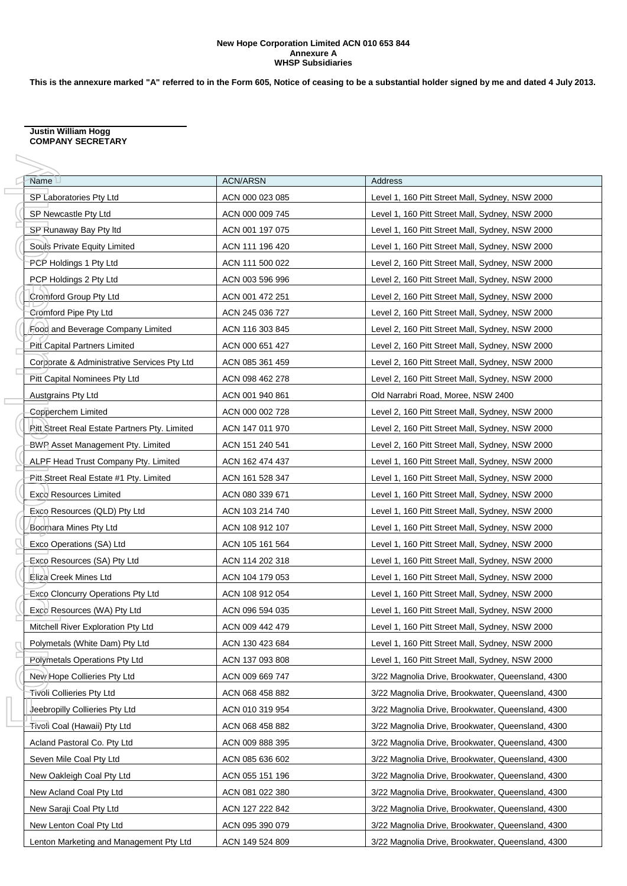### **New Hope Corporation Limited ACN 010 653 844 Annexure A WHSP Subsidiaries**

**This is the annexure marked "A" referred to in the Form 605, Notice of ceasing to be a substantial holder signed by me and dated 4 July 2013.**

#### **Justin William Hogg COMPANY SECRETARY**

| Name                                                 | <b>ACN/ARSN</b> | Address                                           |
|------------------------------------------------------|-----------------|---------------------------------------------------|
| SP Laboratories Pty Ltd                              | ACN 000 023 085 | Level 1, 160 Pitt Street Mall, Sydney, NSW 2000   |
| SP Newcastle Pty Ltd                                 | ACN 000 009 745 | Level 1, 160 Pitt Street Mall, Sydney, NSW 2000   |
| SP Runaway Bay Pty Itd                               | ACN 001 197 075 | Level 1, 160 Pitt Street Mall, Sydney, NSW 2000   |
| Souls Private Equity Limited                         | ACN 111 196 420 | Level 1, 160 Pitt Street Mall, Sydney, NSW 2000   |
| PCP Holdings 1 Pty Ltd                               | ACN 111 500 022 | Level 2, 160 Pitt Street Mall, Sydney, NSW 2000   |
| PCP Holdings 2 Pty Ltd                               | ACN 003 596 996 | Level 2, 160 Pitt Street Mall, Sydney, NSW 2000   |
| Cromford Group Pty Ltd                               | ACN 001 472 251 | Level 2, 160 Pitt Street Mall, Sydney, NSW 2000   |
| Cromford Pipe Pty Ltd                                | ACN 245 036 727 | Level 2, 160 Pitt Street Mall, Sydney, NSW 2000   |
| Food and Beverage Company Limited                    | ACN 116 303 845 | Level 2, 160 Pitt Street Mall, Sydney, NSW 2000   |
| Pitt Capital Partners Limited                        | ACN 000 651 427 | Level 2, 160 Pitt Street Mall, Sydney, NSW 2000   |
| Corporate & Administrative Services Pty Ltd          | ACN 085 361 459 | Level 2, 160 Pitt Street Mall, Sydney, NSW 2000   |
| Pitt Capital Nominees Pty Ltd                        | ACN 098 462 278 | Level 2, 160 Pitt Street Mall, Sydney, NSW 2000   |
| <b>Austgrains Pty Ltd</b>                            | ACN 001 940 861 | Old Narrabri Road, Moree, NSW 2400                |
| Copperchem Limited                                   | ACN 000 002 728 | Level 2, 160 Pitt Street Mall, Sydney, NSW 2000   |
| <b>Pitt Street Real Estate Partners Pty. Limited</b> | ACN 147 011 970 | Level 2, 160 Pitt Street Mall, Sydney, NSW 2000   |
| <b>BWP</b> Asset Management Pty. Limited             | ACN 151 240 541 | Level 2, 160 Pitt Street Mall, Sydney, NSW 2000   |
| ALPF Head Trust Company Pty. Limited                 | ACN 162 474 437 | Level 1, 160 Pitt Street Mall, Sydney, NSW 2000   |
| Pitt Street Real Estate #1 Pty. Limited              | ACN 161 528 347 | Level 1, 160 Pitt Street Mall, Sydney, NSW 2000   |
| <b>Exco Resources Limited</b>                        | ACN 080 339 671 | Level 1, 160 Pitt Street Mall, Sydney, NSW 2000   |
| Exco Resources (QLD) Pty Ltd                         | ACN 103 214 740 | Level 1, 160 Pitt Street Mall, Sydney, NSW 2000   |
| Boomara Mines Pty Ltd                                | ACN 108 912 107 | Level 1, 160 Pitt Street Mall, Sydney, NSW 2000   |
| Exco Operations (SA) Ltd                             | ACN 105 161 564 | Level 1, 160 Pitt Street Mall, Sydney, NSW 2000   |
| Exco Resources (SA) Pty Ltd                          | ACN 114 202 318 | Level 1, 160 Pitt Street Mall, Sydney, NSW 2000   |
| Eliza Creek Mines Ltd                                | ACN 104 179 053 | Level 1, 160 Pitt Street Mall, Sydney, NSW 2000   |
| <b>Exco Cloncurry Operations Pty Ltd</b>             | ACN 108 912 054 | Level 1, 160 Pitt Street Mall, Sydney, NSW 2000   |
| Exco Resources (WA) Pty Ltd                          | ACN 096 594 035 | Level 1, 160 Pitt Street Mall, Sydney, NSW 2000   |
| Mitchell River Exploration Pty Ltd                   | ACN 009 442 479 | Level 1, 160 Pitt Street Mall, Sydney, NSW 2000   |
| Polymetals (White Dam) Pty Ltd                       | ACN 130 423 684 | Level 1, 160 Pitt Street Mall, Sydney, NSW 2000   |
| Polymetals Operations Pty Ltd                        | ACN 137 093 808 | Level 1, 160 Pitt Street Mall, Sydney, NSW 2000   |
| New Hope Collieries Pty Ltd                          | ACN 009 669 747 | 3/22 Magnolia Drive, Brookwater, Queensland, 4300 |
| <b>Tivoli Collieries Pty Ltd</b>                     | ACN 068 458 882 | 3/22 Magnolia Drive, Brookwater, Queensland, 4300 |
| Jeebropilly Collieries Pty Ltd                       | ACN 010 319 954 | 3/22 Magnolia Drive, Brookwater, Queensland, 4300 |
| <del>Tivol</del> i Coal (Hawaii) Pty Ltd             | ACN 068 458 882 | 3/22 Magnolia Drive, Brookwater, Queensland, 4300 |
| Acland Pastoral Co. Pty Ltd                          | ACN 009 888 395 | 3/22 Magnolia Drive, Brookwater, Queensland, 4300 |
| Seven Mile Coal Pty Ltd                              | ACN 085 636 602 | 3/22 Magnolia Drive, Brookwater, Queensland, 4300 |
| New Oakleigh Coal Pty Ltd                            | ACN 055 151 196 | 3/22 Magnolia Drive, Brookwater, Queensland, 4300 |
| New Acland Coal Pty Ltd                              | ACN 081 022 380 | 3/22 Magnolia Drive, Brookwater, Queensland, 4300 |
| New Saraji Coal Pty Ltd                              | ACN 127 222 842 | 3/22 Magnolia Drive, Brookwater, Queensland, 4300 |
| New Lenton Coal Pty Ltd                              | ACN 095 390 079 | 3/22 Magnolia Drive, Brookwater, Queensland, 4300 |
| Lenton Marketing and Management Pty Ltd              | ACN 149 524 809 | 3/22 Magnolia Drive, Brookwater, Queensland, 4300 |